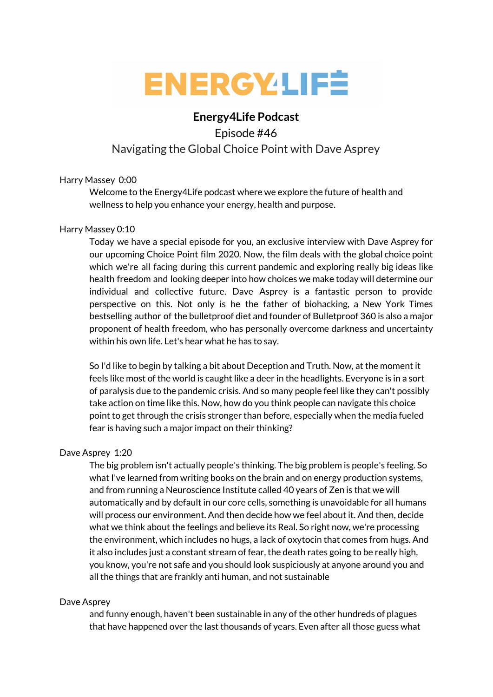

## **Energy4Life Podcast**

Episode #46

# Navigating the Global Choice Point with Dave Asprey

## Harry Massey 0:00

Welcome to the Energy4Life podcast where we explore the future of health and wellness to help you enhance your energy, health and purpose.

## Harry Massey 0:10

Today we have a special episode for you, an exclusive interview with Dave Asprey for our upcoming Choice Point film 2020. Now, the film deals with the global choice point which we're all facing during this current pandemic and exploring really big ideas like health freedom and looking deeper into how choices we make today will determine our individual and collective future. Dave Asprey is a fantastic person to provide perspective on this. Not only is he the father of biohacking, a New York Times bestselling author of the bulletproof diet and founder of Bulletproof 360 is also a major proponent of health freedom, who has personally overcome darkness and uncertainty within his own life. Let's hear what he has to say.

So I'd like to begin by talking a bit about Deception and Truth. Now, at the moment it feels like most of the world is caught like a deer in the headlights. Everyone is in a sort of paralysis due to the pandemic crisis. And so many people feel like they can't possibly take action on time like this. Now, how do you think people can navigate this choice point to get through the crisis stronger than before, especially when the media fueled fear is having such a major impact on their thinking?

## Dave Asprey 1:20

The big problem isn't actually people's thinking. The big problem is people's feeling. So what I've learned from writing books on the brain and on energy production systems, and from running a Neuroscience Institute called 40 years of Zen is that we will automatically and by default in our core cells, something is unavoidable for all humans will process our environment. And then decide how we feel about it. And then, decide what we think about the feelings and believe its Real. So right now, we're processing the environment, which includes no hugs, a lack of oxytocin that comes from hugs. And it also includes just a constant stream of fear, the death rates going to be really high, you know, you're not safe and you should look suspiciously at anyone around you and all the things that are frankly anti human, and not sustainable

## Dave Asprey

and funny enough, haven't been sustainable in any of the other hundreds of plagues that have happened over the last thousands of years. Even after all those guess what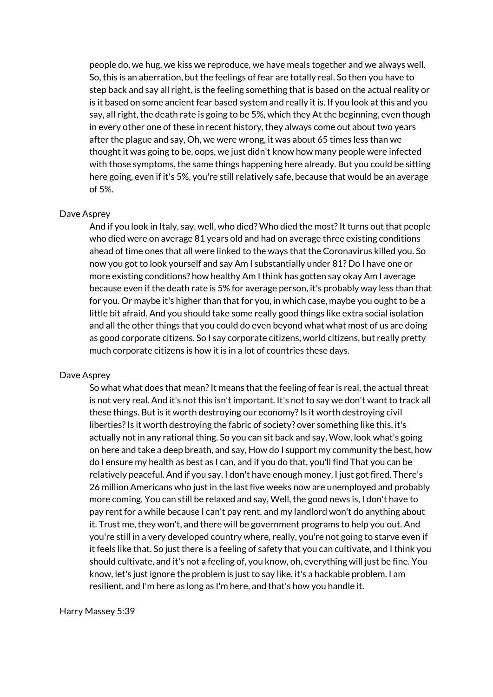people do, we hug, we kiss we reproduce, we have meals together and we always well. So, this is an aberration, but the feelings of fear are totally real. So then you have to step back and say all right, is the feeling something that is based on the actual reality or is it based on some ancient fear based system and really it is. If you look at this and you say, all right, the death rate is going to be 5%, which they At the beginning, even though in every other one of these in recent history, they always come out about two years after the plague and say, Oh, we were wrong, it was about 65 times less than we thought it was going to be, oops, we just didn't know how many people were infected with those symptoms, the same things happening here already. But you could be sitting here going, even if it's 5%, you're still relatively safe, because that would be an average of 5%.

## Dave Asprey

And if you look in Italy, say, well, who died? Who died the most? It turns out that people who died were on average 81 years old and had on average three existing conditions ahead of time ones that all were linked to the ways that the Coronavirus killed you. So now you got to look yourself and say Am I substantially under 81? Do I have one or more existing conditions? how healthy Am I think has gotten say okay Am I average because even if the death rate is 5% for average person, it's probably way less than that for you. Or maybe it's higher than that for you, in which case, maybe you ought to be a little bit afraid. And you should take some really good things like extra social isolation and all the other things that you could do even beyond what what most of us are doing as good corporate citizens. So I say corporate citizens, world citizens, but really pretty much corporate citizens is how it is in a lot of countries these days.

#### Dave Asprey

So what what does that mean? It means that the feeling of fear is real, the actual threat is not very real. And it's not this isn't important. It's not to say we don't want to track all these things. But is it worth destroying our economy?Is it worth destroying civil liberties?Is it worth destroying the fabric of society? over something like this, it's actually not in any rational thing. So you can sit back and say, Wow, look what's going on here and take a deep breath, and say, How do I support my community the best, how do I ensure my health as best as I can, and if you do that, you'll find That you can be relatively peaceful. And if you say, I don't have enough money, I just got fired. There's 26 million Americans who just in the last five weeks now are unemployed and probably more coming. You can still be relaxed and say, Well, the good news is, I don't have to pay rent for a while because I can't pay rent, and my landlord won't do anything about it. Trust me, they won't, and there will be government programs to help you out. And you're still in a very developed country where, really, you're not going to starve even if it feels like that. So just there is a feeling of safety that you can cultivate, and I think you should cultivate, and it's not a feeling of, you know, oh, everything will just be fine. You know, let's just ignore the problem is just to say like, it's a hackable problem. I am resilient, and I'm here as long as I'm here, and that's how you handle it.

#### Harry Massey 5:39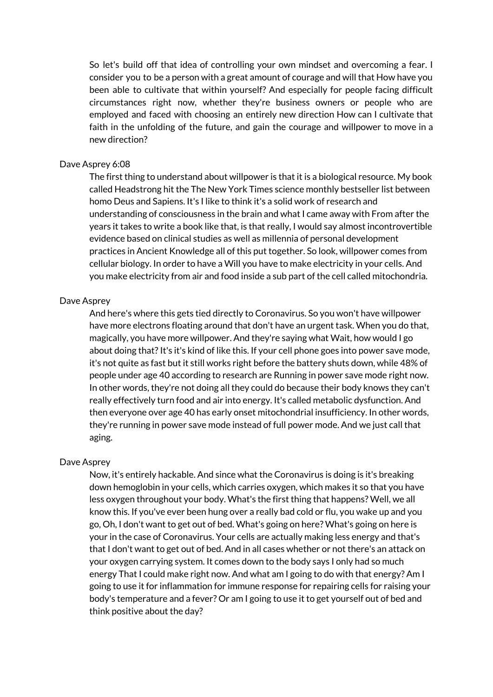So let's build off that idea of controlling your own mindset and overcoming a fear. I consider you to be a person with a great amount of courage and will that How have you been able to cultivate that within yourself? And especially for people facing difficult circumstances right now, whether they're business owners or people who are employed and faced with choosing an entirely new direction How can I cultivate that faith in the unfolding of the future, and gain the courage and willpower to move in a new direction?

## Dave Asprey 6:08

The first thing to understand about willpower is that it is a biological resource. My book called Headstrong hit the The New York Times science monthly bestseller list between homo Deus and Sapiens. It's I like to think it's a solid work of research and understanding of consciousness in the brain and what I came away with From after the years it takes to write a book like that, is that really, I would say almost incontrovertible evidence based on clinical studies as well as millennia of personal development practices in Ancient Knowledge all of this put together. So look, willpower comes from cellular biology. In order to have a Will you have to make electricity in your cells. And you make electricity from air and food inside a sub part of the cell called mitochondria.

## Dave Asprey

And here's where this gets tied directly to Coronavirus. So you won't have willpower have more electrons floating around that don't have an urgent task. When you do that, magically, you have more willpower. And they're saying what Wait, how would I go about doing that? It's it's kind of like this. If your cell phone goes into power save mode, it's not quite as fast but it still works right before the battery shuts down, while 48% of people under age 40 according to research are Running in power save mode right now. In other words, they're not doing all they could do because their body knows they can't really effectively turn food and air into energy. It's called metabolic dysfunction. And then everyone over age 40 has early onset mitochondrial insufficiency. In other words, they're running in power save mode instead of full power mode. And we just call that aging.

#### Dave Asprey

Now, it's entirely hackable. And since what the Coronavirus is doing is it's breaking down hemoglobin in your cells, which carries oxygen, which makes it so that you have less oxygen throughout your body. What's the first thing that happens? Well, we all know this. If you've ever been hung over a really bad cold or flu, you wake up and you go, Oh, I don't want to get out of bed. What's going on here? What's going on here is your in the case of Coronavirus. Your cells are actually making less energy and that's that I don't want to get out of bed. And in all cases whether or not there's an attack on your oxygen carrying system. It comes down to the body says I only had so much energy That I could make right now. And what am I going to do with that energy? Am I going to use it for inflammation for immune response for repairing cells for raising your body's temperature and a fever? Or am I going to use it to get yourself out of bed and think positive about the day?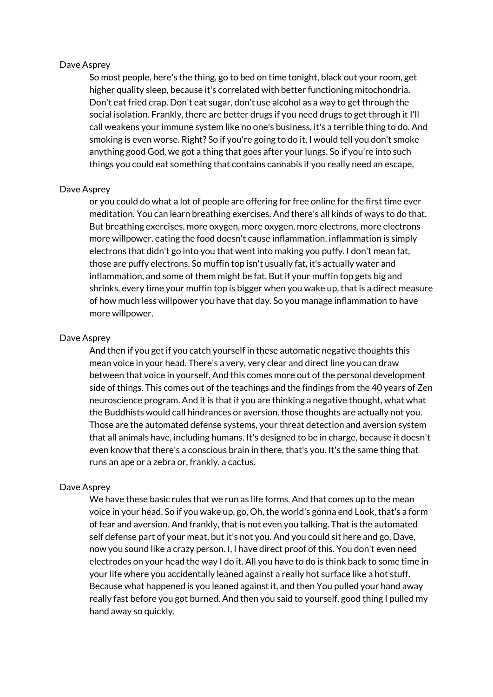## Dave Asprey

So most people, here's the thing, go to bed on time tonight, black out your room, get higher quality sleep, because it's correlated with better functioning mitochondria. Don't eat fried crap. Don't eat sugar, don't use alcohol as a way to get through the social isolation. Frankly, there are better drugs if you need drugs to get through it I'll call weakens your immune system like no one's business, it's a terrible thing to do. And smoking is even worse. Right? So if you're going to do it, I would tell you don't smoke anything good God, we got a thing that goes after your lungs. So if you're into such things you could eat something that contains cannabis if you really need an escape,

## Dave Asprey

or you could do what a lot of people are offering for free online for the first time ever meditation. You can learn breathing exercises. And there's all kinds of ways to do that. But breathing exercises, more oxygen, more oxygen, more electrons, more electrons more willpower. eating the food doesn't cause inflammation. inflammation is simply electrons that didn't go into you that went into making you puffy. I don't mean fat, those are puffy electrons. So muffin top isn't usually fat, it's actually water and inflammation, and some of them might be fat. But if your muffin top gets big and shrinks, every time your muffin top is bigger when you wake up, that is a direct measure of how much less willpower you have that day. So you manage inflammation to have more willpower.

### Dave Asprey

And then if you get if you catch yourself in these automatic negative thoughts this mean voice in your head. There's a very, very clear and direct line you can draw between that voice in yourself. And this comes more out of the personal development side of things. This comes out of the teachings and the findings from the 40 years of Zen neuroscience program. And it is that if you are thinking a negative thought, what what the Buddhists would call hindrances or aversion. those thoughts are actually not you. Those are the automated defense systems, your threat detection and aversion system that all animals have, including humans. It's designed to be in charge, because it doesn't even know that there's a conscious brain in there, that's you. It's the same thing that runs an ape or a zebra or, frankly, a cactus.

#### Dave Asprey

We have these basic rules that we run as life forms. And that comes up to the mean voice in your head. So if you wake up, go, Oh, the world's gonna end Look, that's a form of fear and aversion. And frankly, that is not even you talking. That is the automated self defense part of your meat, but it's not you. And you could sit here and go, Dave, now you sound like a crazy person. I, I have direct proof of this. You don't even need electrodes on your head the way I do it. All you have to do is think back to some time in your life where you accidentally leaned against a really hot surface like a hot stuff. Because what happened is you leaned against it, and then You pulled your hand away really fast before you got burned. And then you said to yourself, good thing I pulled my hand away so quickly.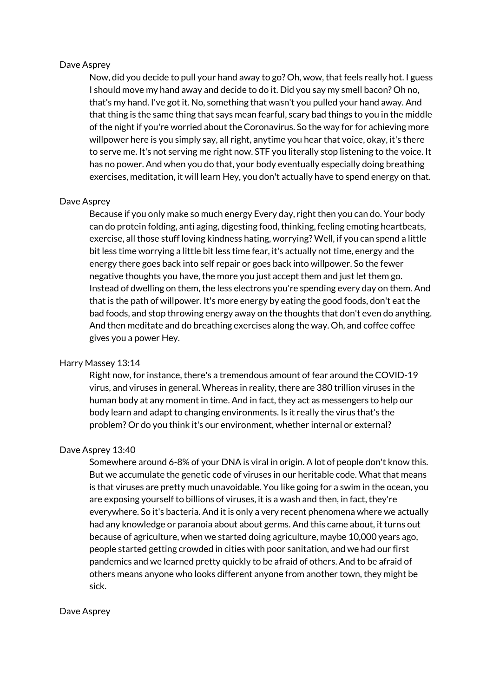## Dave Asprey

Now, did you decide to pull your hand away to go? Oh, wow, that feels really hot. I guess I should move my hand away and decide to do it. Did you say my smell bacon? Oh no, that's my hand. I've got it. No, something that wasn't you pulled your hand away. And that thing is the same thing that says mean fearful, scary bad things to you in the middle of the night if you're worried about the Coronavirus. So the way for for achieving more willpower here is you simply say, all right, anytime you hear that voice, okay, it's there to serve me. It's not serving me right now. STF you literally stop listening to the voice. It has no power. And when you do that, your body eventually especially doing breathing exercises, meditation, it will learn Hey, you don't actually have to spend energy on that.

## Dave Asprey

Because if you only make so much energy Every day, right then you can do. Your body can do protein folding, anti aging, digesting food, thinking, feeling emoting heartbeats, exercise, all those stuff loving kindness hating, worrying? Well, if you can spend a little bit less time worrying a little bit less time fear, it's actually not time, energy and the energy there goes back into self repair or goes back into willpower. So the fewer negative thoughts you have, the more you just accept them and just let them go. Instead of dwelling on them, the less electrons you're spending every day on them. And that is the path of willpower. It's more energy by eating the good foods, don't eat the bad foods, and stop throwing energy away on the thoughts that don't even do anything. And then meditate and do breathing exercises along the way. Oh, and coffee coffee gives you a power Hey.

## Harry Massey 13:14

Right now, for instance, there's a tremendous amount of fear around the COVID-19 virus, and viruses in general. Whereas in reality, there are 380 trillion viruses in the human body at any moment in time. And in fact, they act as messengers to help our body learn and adapt to changing environments. Is it really the virus that's the problem? Or do you think it's our environment, whether internal or external?

#### Dave Asprey 13:40

Somewhere around 6-8% of your DNA is viral in origin. A lot of people don't know this. But we accumulate the genetic code of viruses in our heritable code. What that means is that viruses are pretty much unavoidable. You like going for a swim in the ocean, you are exposing yourself to billions of viruses, it is a wash and then, in fact, they're everywhere. So it's bacteria. And it is only a very recent phenomena where we actually had any knowledge or paranoia about about germs. And this came about, it turns out because of agriculture, when we started doing agriculture, maybe 10,000 years ago, people started getting crowded in cities with poor sanitation, and we had our first pandemics and we learned pretty quickly to be afraid of others. And to be afraid of others means anyone who looks different anyone from another town, they might be sick.

#### Dave Asprey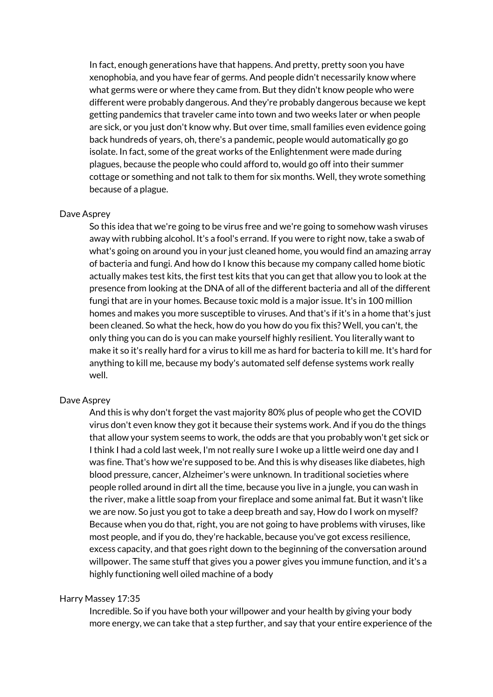In fact, enough generations have that happens. And pretty, pretty soon you have xenophobia, and you have fear of germs. And people didn't necessarily know where what germs were or where they came from. But they didn't know people who were different were probably dangerous. And they're probably dangerous because we kept getting pandemics that traveler came into town and two weeks later or when people are sick, or you just don't know why. But over time, small families even evidence going back hundreds of years, oh, there's a pandemic, people would automatically go go isolate. In fact, some of the great works of the Enlightenment were made during plagues, because the people who could afford to, would go off into their summer cottage or something and not talk to them for six months. Well, they wrote something because of a plague.

## Dave Asprey

So this idea that we're going to be virus free and we're going to somehow wash viruses away with rubbing alcohol. It's a fool's errand. If you were to right now, take a swab of what's going on around you in your just cleaned home, you would find an amazing array of bacteria and fungi. And how do I know this because my company called home biotic actually makes test kits, the first test kits that you can get that allow you to look at the presence from looking at the DNA of all of the different bacteria and all of the different fungi that are in your homes. Because toxic mold is a major issue. It's in 100 million homes and makes you more susceptible to viruses. And that's if it's in a home that's just been cleaned. So what the heck, how do you how do you fix this? Well, you can't, the only thing you can do is you can make yourself highly resilient. You literally want to make it so it's really hard for a virus to kill me as hard for bacteria to kill me. It's hard for anything to kill me, because my body's automated self defense systems work really well.

#### Dave Asprey

And this is why don't forget the vast majority 80% plus of people who get the COVID virus don't even know they got it because their systems work. And if you do the things that allow your system seems to work, the odds are that you probably won't get sick or I think I had a cold last week, I'm not really sure I woke up a little weird one day and I was fine. That's how we're supposed to be. And this is why diseases like diabetes, high blood pressure, cancer, Alzheimer's were unknown. In traditional societies where people rolled around in dirt all the time, because you live in a jungle, you can wash in the river, make a little soap from your fireplace and some animal fat. But it wasn't like we are now. So just you got to take a deep breath and say, How do I work on myself? Because when you do that, right, you are not going to have problems with viruses, like most people, and if you do, they're hackable, because you've got excess resilience, excess capacity, and that goes right down to the beginning of the conversation around willpower. The same stuff that gives you a power gives you immune function, and it's a highly functioning well oiled machine of a body

#### Harry Massey 17:35

Incredible. So if you have both your willpower and your health by giving your body more energy, we can take that a step further, and say that your entire experience of the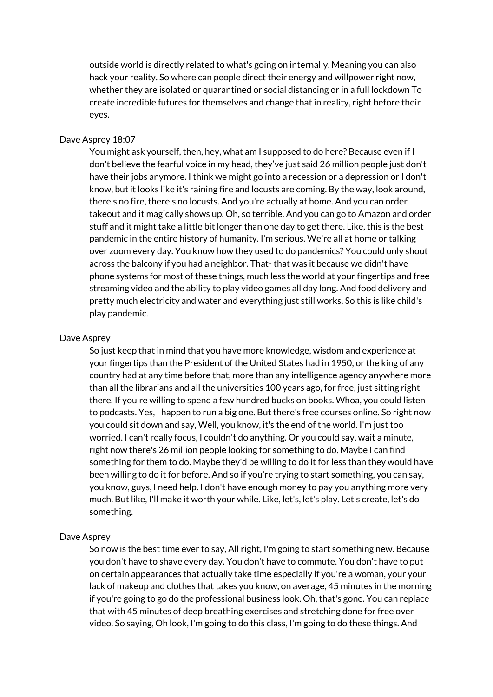outside world is directly related to what's going on internally. Meaning you can also hack your reality. So where can people direct their energy and willpower right now, whether they are isolated or quarantined or social distancing or in a full lockdown To create incredible futures for themselves and change that in reality, right before their eyes.

## Dave Asprey 18:07

You might ask yourself, then, hey, what am I supposed to do here? Because even if I don't believe the fearful voice in my head, they've just said 26 million people just don't have their jobs anymore. I think we might go into a recession or a depression or I don't know, but it looks like it's raining fire and locusts are coming. By the way, look around, there's no fire, there's no locusts. And you're actually at home. And you can order takeout and it magically shows up. Oh, so terrible. And you can go to Amazon and order stuff and it might take a little bit longer than one day to get there. Like, this is the best pandemic in the entire history of humanity. I'm serious. We're all at home or talking over zoom every day. You know how they used to do pandemics? You could only shout across the balcony if you had a neighbor. That- that was it because we didn't have phone systems for most of these things, much less the world at your fingertips and free streaming video and the ability to play video games all day long. And food delivery and pretty much electricity and water and everything just still works. So this is like child's play pandemic.

### Dave Asprey

So just keep that in mind that you have more knowledge, wisdom and experience at your fingertips than the President of the United States had in 1950, or the king of any country had at any time before that, more than any intelligence agency anywhere more than all the librarians and all the universities 100 years ago, for free, just sitting right there. If you're willing to spend a few hundred bucks on books. Whoa, you could listen to podcasts. Yes, I happen to run a big one. But there's free courses online. So right now you could sit down and say, Well, you know, it's the end of the world. I'm just too worried. I can't really focus, I couldn't do anything. Or you could say, wait a minute, right now there's 26 million people looking for something to do. Maybe I can find something for them to do. Maybe they'd be willing to do it for less than they would have been willing to do it for before. And so if you're trying to start something, you can say, you know, guys, I need help. I don't have enough money to pay you anything more very much. But like, I'll make it worth your while. Like, let's, let's play. Let's create, let's do something.

#### Dave Asprey

So now is the best time ever to say, All right, I'm going to start something new. Because you don't have to shave every day. You don't have to commute. You don't have to put on certain appearances that actually take time especially if you're a woman, your your lack of makeup and clothes that takes you know, on average, 45 minutes in the morning if you're going to go do the professional business look. Oh, that's gone. You can replace that with 45 minutes of deep breathing exercises and stretching done for free over video. So saying, Oh look, I'm going to do this class, I'm going to do these things. And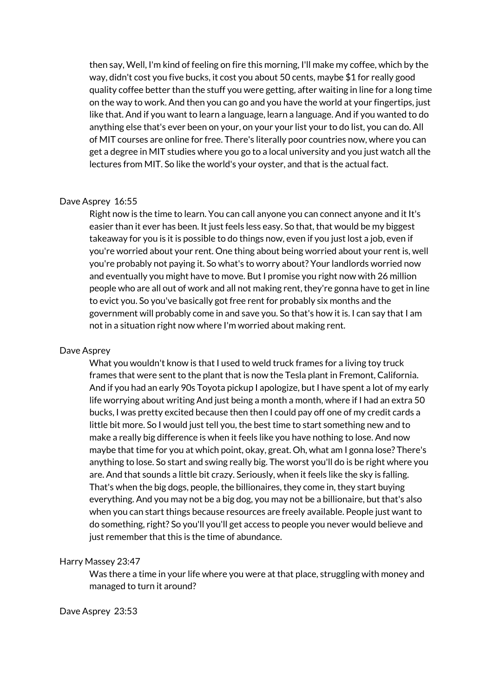then say, Well, I'm kind of feeling on fire this morning, I'll make my coffee, which by the way, didn't cost you five bucks, it cost you about 50 cents, maybe \$1 for really good quality coffee better than the stuff you were getting, after waiting in line for a long time on the way to work. And then you can go and you have the world at your fingertips, just like that. And if you want to learn a language, learn a language. And if you wanted to do anything else that's ever been on your, on your your list your to do list, you can do. All of MIT courses are online for free. There's literally poor countries now, where you can get a degree in MIT studies where you go to a local university and you just watch all the lectures from MIT. So like the world's your oyster, and that is the actual fact.

## Dave Asprey 16:55

Right now is the time to learn. You can call anyone you can connect anyone and it It's easier than it ever has been. It just feels less easy. So that, that would be my biggest takeaway for you is it is possible to do things now, even if you just lost a job, even if you're worried about your rent. One thing about being worried about your rent is, well you're probably not paying it. So what's to worry about? Your landlords worried now and eventually you might have to move. But I promise you right now with 26 million people who are all out of work and all not making rent, they're gonna have to get in line to evict you. So you've basically got free rent for probably six months and the government will probably come in and save you. So that's how it is. I can say that I am not in a situation right now where I'm worried about making rent.

#### Dave Asprey

What you wouldn't know is that I used to weld truck frames for a living toy truck frames that were sent to the plant that is now the Tesla plant in Fremont, California. And if you had an early 90s Toyota pickup I apologize, but I have spent a lot of my early life worrying about writing And just being a month a month, where if I had an extra 50 bucks, I was pretty excited because then then I could pay off one of my credit cards a little bit more. So I would just tell you, the best time to start something new and to make a really big difference is when it feels like you have nothing to lose. And now maybe that time for you at which point, okay, great. Oh, what am I gonna lose? There's anything to lose. So start and swing really big. The worst you'll do is be right where you are. And that sounds a little bit crazy. Seriously, when it feels like the sky is falling. That's when the big dogs, people, the billionaires, they come in, they start buying everything. And you may not be a big dog, you may not be a billionaire, but that's also when you can start things because resources are freely available. People just want to do something, right? So you'll you'll get access to people you never would believe and just remember that this is the time of abundance.

#### Harry Massey 23:47

Was there a time in your life where you were at that place, struggling with money and managed to turn it around?

#### Dave Asprey 23:53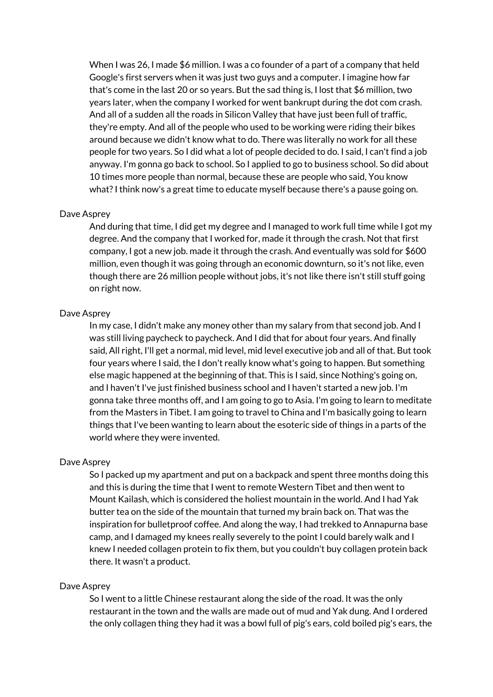When I was 26, I made \$6 million. I was a co founder of a part of a company that held Google's first servers when it was just two guys and a computer. I imagine how far that's come in the last 20 or so years. But the sad thing is, I lost that \$6 million, two years later, when the company I worked for went bankrupt during the dot com crash. And all of a sudden all the roads in Silicon Valley that have just been full of traffic, they're empty. And all of the people who used to be working were riding their bikes around because we didn't know what to do. There was literally no work for all these people for two years. So I did what a lot of people decided to do. I said, I can't find a job anyway. I'm gonna go back to school. So I applied to go to business school. So did about 10 times more people than normal, because these are people who said, You know what?I think now's a great time to educate myself because there's a pause going on.

## Dave Asprey

And during that time, I did get my degree and I managed to work full time while I got my degree. And the company that I worked for, made it through the crash. Not that first company, I got a new job. made it through the crash. And eventually was sold for \$600 million, even though it was going through an economic downturn, so it's not like, even though there are 26 million people without jobs, it's not like there isn't still stuff going on right now.

## Dave Asprey

In my case, I didn't make any money other than my salary from that second job. And I was still living paycheck to paycheck. And I did that for about four years. And finally said, All right, I'll get a normal, mid level, mid level executive job and all of that. But took four years where I said, the I don't really know what's going to happen. But something else magic happened at the beginning of that. This is I said, since Nothing's going on, and I haven't I've just finished business school and I haven't started a new job. I'm gonna take three months off, and I am going to go to Asia. I'm going to learn to meditate from the Masters in Tibet. I am going to travel to China and I'm basically going to learn things that I've been wanting to learn about the esoteric side of things in a parts of the world where they were invented.

## Dave Asprey

So I packed up my apartment and put on a backpack and spent three months doing this and this is during the time that I went to remote Western Tibet and then went to Mount Kailash, which is considered the holiest mountain in the world. And I had Yak butter tea on the side of the mountain that turned my brain back on. That was the inspiration for bulletproof coffee. And along the way, I had trekked to Annapurna base camp, and I damaged my knees really severely to the point I could barely walk and I knew I needed collagen protein to fix them, but you couldn't buy collagen protein back there. It wasn't a product.

#### Dave Asprey

So I went to a little Chinese restaurant along the side of the road. It was the only restaurant in the town and the walls are made out of mud and Yak dung. And I ordered the only collagen thing they had it was a bowl full of pig's ears, cold boiled pig's ears, the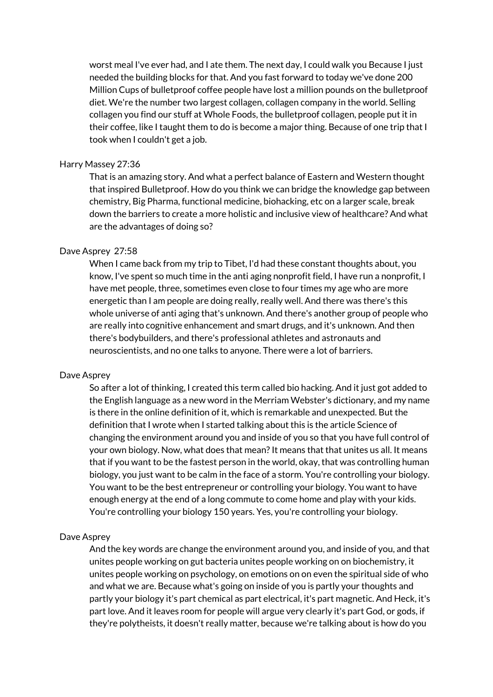worst meal I've ever had, and I ate them. The next day, I could walk you Because I just needed the building blocks for that. And you fast forward to today we've done 200 Million Cups of bulletproof coffee people have lost a million pounds on the bulletproof diet. We're the number two largest collagen, collagen company in the world. Selling collagen you find our stuff at Whole Foods, the bulletproof collagen, people put it in their coffee, like I taught them to do is become a major thing. Because of one trip that I took when I couldn't get a job.

## Harry Massey 27:36

That is an amazing story. And what a perfect balance of Eastern and Western thought that inspired Bulletproof. How do you think we can bridge the knowledge gap between chemistry, Big Pharma, functional medicine, biohacking, etc on a larger scale, break down the barriers to create a more holistic and inclusive view of healthcare? And what are the advantages of doing so?

#### Dave Asprey 27:58

When I came back from my trip to Tibet, I'd had these constant thoughts about, you know, I've spent so much time in the anti aging nonprofit field, I have run a nonprofit, I have met people, three, sometimes even close to four times my age who are more energetic than I am people are doing really, really well. And there was there's this whole universe of anti aging that's unknown. And there's another group of people who are really into cognitive enhancement and smart drugs, and it's unknown. And then there's bodybuilders, and there's professional athletes and astronauts and neuroscientists, and no one talks to anyone. There were a lot of barriers.

## Dave Asprey

So after a lot of thinking, I created this term called bio hacking. And it just got added to the English language as a new word in the Merriam Webster's dictionary, and my name is there in the online definition of it, which is remarkable and unexpected. But the definition that I wrote when I started talking about this is the article Science of changing the environment around you and inside of you so that you have full control of your own biology. Now, what does that mean? It means that that unites us all. It means that if you want to be the fastest person in the world, okay, that was controlling human biology, you just want to be calm in the face of a storm. You're controlling your biology. You want to be the best entrepreneur or controlling your biology. You want to have enough energy at the end of a long commute to come home and play with your kids. You're controlling your biology 150 years. Yes, you're controlling your biology.

#### Dave Asprey

And the key words are change the environment around you, and inside of you, and that unites people working on gut bacteria unites people working on on biochemistry, it unites people working on psychology, on emotions on on even the spiritual side of who and what we are. Because what's going on inside of you is partly your thoughts and partly your biology it's part chemical as part electrical, it's part magnetic. And Heck, it's part love. And it leaves room for people will argue very clearly it's part God, or gods, if they're polytheists, it doesn't really matter, because we're talking about is how do you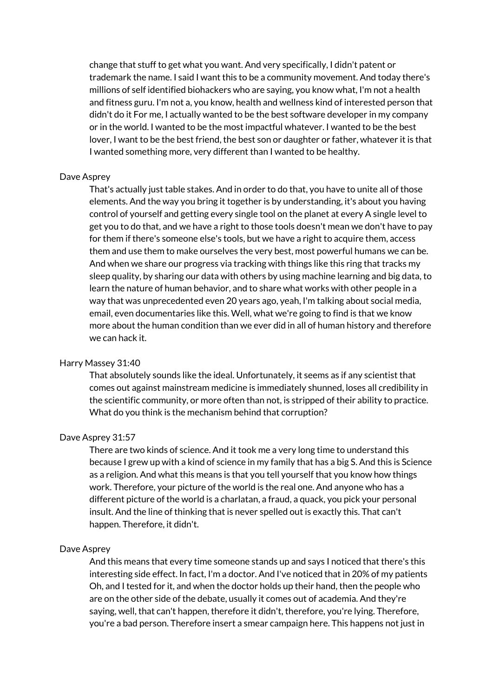change that stuff to get what you want. And very specifically, I didn't patent or trademark the name. I said I want this to be a community movement. And today there's millions of self identified biohackers who are saying, you know what, I'm not a health and fitness guru. I'm not a, you know, health and wellness kind of interested person that didn't do it For me, I actually wanted to be the best software developer in my company or in the world. I wanted to be the most impactful whatever. I wanted to be the best lover, I want to be the best friend, the best son or daughter or father, whatever it is that I wanted something more, very different than I wanted to be healthy.

## Dave Asprey

That's actually just table stakes. And in order to do that, you have to unite all of those elements. And the way you bring it together is by understanding, it's about you having control of yourself and getting every single tool on the planet at every A single level to get you to do that, and we have a right to those tools doesn't mean we don't have to pay for them if there's someone else's tools, but we have a right to acquire them, access them and use them to make ourselves the very best, most powerful humans we can be. And when we share our progress via tracking with things like this ring that tracks my sleep quality, by sharing our data with others by using machine learning and big data, to learn the nature of human behavior, and to share what works with other people in a way that was unprecedented even 20 years ago, yeah, I'm talking about social media, email, even documentaries like this. Well, what we're going to find is that we know more about the human condition than we ever did in all of human history and therefore we can hack it.

## Harry Massey 31:40

That absolutely sounds like the ideal. Unfortunately, it seems as if any scientist that comes out against mainstream medicine is immediately shunned, loses all credibility in the scientific community, or more often than not, is stripped of their ability to practice. What do you think is the mechanism behind that corruption?

## Dave Asprey 31:57

There are two kinds of science. And it took me a very long time to understand this because I grew up with a kind of science in my family that has a big S. And this is Science as a religion. And what this means is that you tell yourself that you know how things work. Therefore, your picture of the world is the real one. And anyone who has a different picture of the world is a charlatan, a fraud, a quack, you pick your personal insult. And the line of thinking that is never spelled out is exactly this. That can't happen. Therefore, it didn't.

## Dave Asprey

And this means that every time someone stands up and says I noticed that there's this interesting side effect. In fact, I'm a doctor. And I've noticed that in 20% of my patients Oh, and I tested for it, and when the doctor holds up their hand, then the people who are on the other side of the debate, usually it comes out of academia. And they're saying, well, that can't happen, therefore it didn't, therefore, you're lying. Therefore, you're a bad person. Therefore insert a smear campaign here. This happens not just in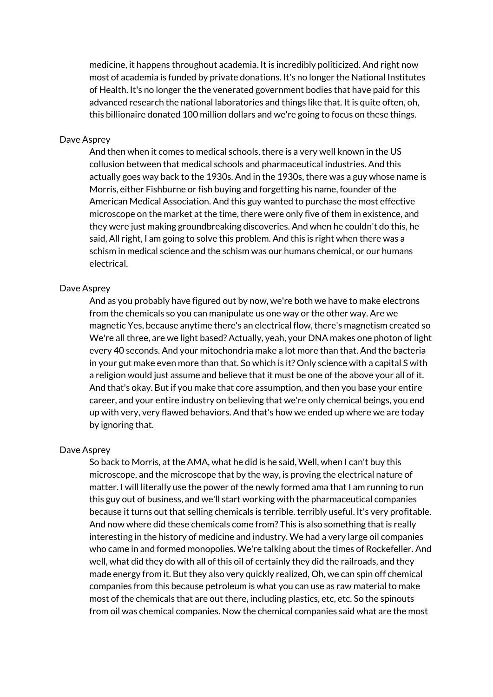medicine, it happens throughout academia. It is incredibly politicized. And right now most of academia is funded by private donations. It's no longer the National Institutes of Health. It's no longer the the venerated government bodies that have paid for this advanced research the national laboratories and things like that. It is quite often, oh, this billionaire donated 100 million dollars and we're going to focus on these things.

## Dave Asprey

And then when it comes to medical schools, there is a very well known in the US collusion between that medical schools and pharmaceutical industries. And this actually goes way back to the 1930s. And in the 1930s, there was a guy whose name is Morris, either Fishburne or fish buying and forgetting his name, founder of the American Medical Association. And this guy wanted to purchase the most effective microscope on the market at the time, there were only five of them in existence, and they were just making groundbreaking discoveries. And when he couldn't do this, he said, All right, I am going to solve this problem. And this is right when there was a schism in medical science and the schism was our humans chemical, or our humans electrical.

## Dave Asprey

And as you probably have figured out by now, we're both we have to make electrons from the chemicals so you can manipulate us one way or the other way. Are we magnetic Yes, because anytime there's an electrical flow, there's magnetism created so We're all three, are we light based? Actually, yeah, your DNA makes one photon of light every 40 seconds. And your mitochondria make a lot more than that. And the bacteria in your gut make even more than that. So which is it? Only science with a capital S with a religion would just assume and believe that it must be one of the above your all of it. And that's okay. But if you make that core assumption, and then you base your entire career, and your entire industry on believing that we're only chemical beings, you end up with very, very flawed behaviors. And that's how we ended up where we are today by ignoring that.

#### Dave Asprey

So back to Morris, at the AMA, what he did is he said, Well, when I can't buy this microscope, and the microscope that by the way, is proving the electrical nature of matter. I will literally use the power of the newly formed ama that I am running to run this guy out of business, and we'll start working with the pharmaceutical companies because it turns out that selling chemicals is terrible. terribly useful. It's very profitable. And now where did these chemicals come from? This is also something that is really interesting in the history of medicine and industry. We had a very large oil companies who came in and formed monopolies. We're talking about the times of Rockefeller. And well, what did they do with all of this oil of certainly they did the railroads, and they made energy from it. But they also very quickly realized, Oh, we can spin off chemical companies from this because petroleum is what you can use as raw material to make most of the chemicals that are out there, including plastics, etc, etc. So the spinouts from oil was chemical companies. Now the chemical companies said what are the most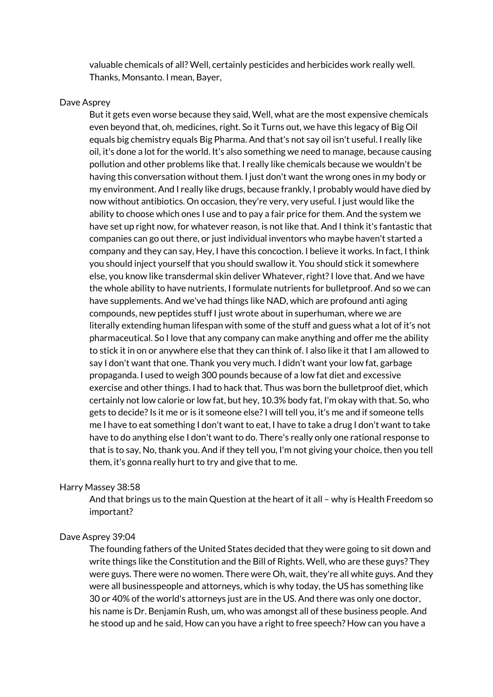valuable chemicals of all? Well, certainly pesticides and herbicides work really well. Thanks, Monsanto. I mean, Bayer,

## Dave Asprey

But it gets even worse because they said, Well, what are the most expensive chemicals even beyond that, oh, medicines, right. So it Turns out, we have this legacy of Big Oil equals big chemistry equals Big Pharma. And that's not say oil isn't useful. I really like oil, it's done a lot for the world. It's also something we need to manage, because causing pollution and other problems like that. I really like chemicals because we wouldn't be having this conversation without them. I just don't want the wrong ones in my body or my environment. And I really like drugs, because frankly, I probably would have died by now without antibiotics. On occasion, they're very, very useful. I just would like the ability to choose which ones I use and to pay a fair price for them. And the system we have set up right now, for whatever reason, is not like that. And I think it's fantastic that companies can go out there, or just individual inventors who maybe haven't started a company and they can say, Hey, I have this concoction. I believe it works. In fact, I think you should inject yourself that you should swallow it. You should stick it somewhere else, you know like transdermal skin deliver Whatever, right?I love that. And we have the whole ability to have nutrients, I formulate nutrients for bulletproof. And so we can have supplements. And we've had things like NAD, which are profound anti aging compounds, new peptides stuff I just wrote about in superhuman, where we are literally extending human lifespan with some of the stuff and guess what a lot of it's not pharmaceutical. So I love that any company can make anything and offer me the ability to stick it in on or anywhere else that they can think of. I also like it that I am allowed to say I don't want that one. Thank you very much. I didn't want your low fat, garbage propaganda. I used to weigh 300 pounds because of a low fat diet and excessive exercise and other things. I had to hack that. Thus was born the bulletproof diet, which certainly not low calorie or low fat, but hey, 10.3% body fat, I'm okay with that. So, who gets to decide?Is it me or is it someone else?I will tell you, it's me and if someone tells me I have to eat something I don't want to eat, I have to take a drug I don't want to take have to do anything else I don't want to do. There's really only one rational response to that is to say, No, thank you. And if they tell you, I'm not giving your choice, then you tell them, it's gonna really hurt to try and give that to me.

#### Harry Massey 38:58

And that brings us to the main Question at the heart of it all – why is Health Freedom so important?

## Dave Asprey 39:04

The founding fathers of the United States decided that they were going to sit down and write things like the Constitution and the Bill of Rights. Well, who are these guys? They were guys. There were no women. There were Oh, wait, they're all white guys. And they were all businesspeople and attorneys, which is why today, the US has something like 30 or 40% of the world's attorneys just are in the US. And there was only one doctor, his name is Dr. Benjamin Rush, um, who was amongst all of these business people. And he stood up and he said, How can you have a right to free speech? How can you have a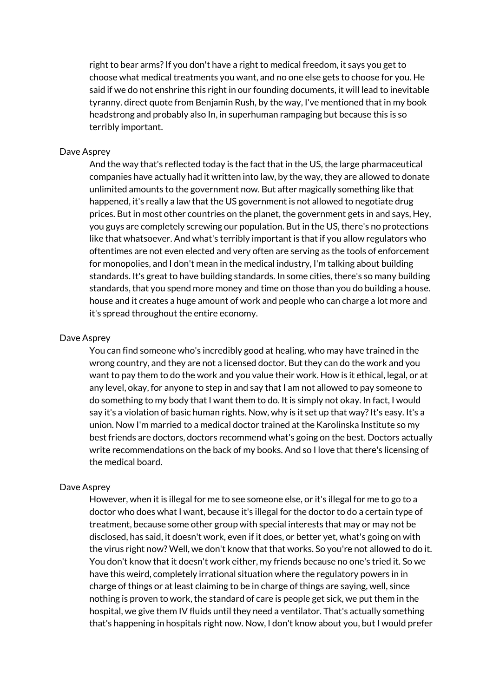right to bear arms?If you don't have a right to medical freedom, it says you get to choose what medical treatments you want, and no one else gets to choose for you. He said if we do not enshrine this right in our founding documents, it will lead to inevitable tyranny. direct quote from Benjamin Rush, by the way, I've mentioned that in my book headstrong and probably also In, in superhuman rampaging but because this is so terribly important.

## Dave Asprey

And the way that's reflected today is the fact that in the US, the large pharmaceutical companies have actually had it written into law, by the way, they are allowed to donate unlimited amounts to the government now. But after magically something like that happened, it's really a law that the US government is not allowed to negotiate drug prices. But in most other countries on the planet, the government gets in and says, Hey, you guys are completely screwing our population. But in the US, there's no protections like that whatsoever. And what's terribly important is that if you allow regulators who oftentimes are not even elected and very often are serving as the tools of enforcement for monopolies, and I don't mean in the medical industry, I'm talking about building standards. It's great to have building standards. In some cities, there's so many building standards, that you spend more money and time on those than you do building a house. house and it creates a huge amount of work and people who can charge a lot more and it's spread throughout the entire economy.

## Dave Asprey

You can find someone who's incredibly good at healing, who may have trained in the wrong country, and they are not a licensed doctor. But they can do the work and you want to pay them to do the work and you value their work. How is it ethical, legal, or at any level, okay, for anyone to step in and say that I am not allowed to pay someone to do something to my body that I want them to do. It is simply not okay. In fact, I would say it's a violation of basic human rights. Now, why is it set up that way? It's easy. It's a union. Now I'm married to a medical doctor trained at the Karolinska Institute so my best friends are doctors, doctors recommend what's going on the best. Doctors actually write recommendations on the back of my books. And so I love that there's licensing of the medical board.

## Dave Asprey

However, when it is illegal for me to see someone else, or it's illegal for me to go to a doctor who does what I want, because it's illegal for the doctor to do a certain type of treatment, because some other group with special interests that may or may not be disclosed, has said, it doesn't work, even if it does, or better yet, what's going on with the virus right now? Well, we don't know that that works. So you're not allowed to do it. You don't know that it doesn't work either, my friends because no one's tried it. So we have this weird, completely irrational situation where the regulatory powers in in charge of things or at least claiming to be in charge of things are saying, well, since nothing is proven to work, the standard of care is people get sick, we put them in the hospital, we give them IV fluids until they need a ventilator. That's actually something that's happening in hospitals right now. Now, I don't know about you, but I would prefer